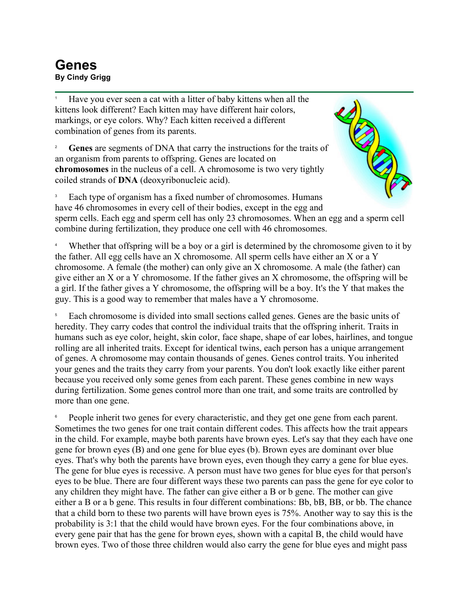## **Genes**<br>By Cindy Grigg **By Cindy Grigg**<br>By Cindy Grigg

1 Have you ever seen a cat with a litter of baby kittens when all the kittens look different? Each kitten may have different hair colors, markings, or eye colors. Why? Each kitten received a different combination of genes from its parents.

2 **Genes** are segments of DNA that carry the instructions for the traits of an organism from parents to offspring. Genes are located on **chromosomes** in the nucleus of a cell. A chromosome is two very tightly coiled strands of **DNA** (deoxyribonucleic acid).



3 Each type of organism has a fixed number of chromosomes. Humans have 46 chromosomes in every cell of their bodies, except in the egg and sperm cells. Each egg and sperm cell has only 23 chromosomes. When an egg and a sperm cell combine during fertilization, they produce one cell with 46 chromosomes.

4 Whether that offspring will be a boy or a girl is determined by the chromosome given to it by the father. All egg cells have an X chromosome. All sperm cells have either an X or a Y chromosome. A female (the mother) can only give an X chromosome. A male (the father) can give either an X or a Y chromosome. If the father gives an X chromosome, the offspring will be a girl. If the father gives a Y chromosome, the offspring will be a boy. It's the Y that makes the guy. This is a good way to remember that males have a Y chromosome.

5 Each chromosome is divided into small sections called genes. Genes are the basic units of heredity. They carry codes that control the individual traits that the offspring inherit. Traits in humans such as eye color, height, skin color, face shape, shape of ear lobes, hairlines, and tongue rolling are all inherited traits. Except for identical twins, each person has a unique arrangement of genes. A chromosome may contain thousands of genes. Genes control traits. You inherited your genes and the traits they carry from your parents. You don't look exactly like either parent because you received only some genes from each parent. These genes combine in new ways during fertilization. Some genes control more than one trait, and some traits are controlled by more than one gene.

6 People inherit two genes for every characteristic, and they get one gene from each parent. Sometimes the two genes for one trait contain different codes. This affects how the trait appears in the child. For example, maybe both parents have brown eyes. Let's say that they each have one gene for brown eyes (B) and one gene for blue eyes (b). Brown eyes are dominant over blue eyes. That's why both the parents have brown eyes, even though they carry a gene for blue eyes. The gene for blue eyes is recessive. A person must have two genes for blue eyes for that person's eyes to be blue. There are four different ways these two parents can pass the gene for eye color to any children they might have. The father can give either a B or b gene. The mother can give either a B or a b gene. This results in four different combinations: Bb, bB, BB, or bb. The chance that a child born to these two parents will have brown eyes is 75%. Another way to say this is the probability is 3:1 that the child would have brown eyes. For the four combinations above, in every gene pair that has the gene for brown eyes, shown with a capital B, the child would have brown eyes. Two of those three children would also carry the gene for blue eyes and might pass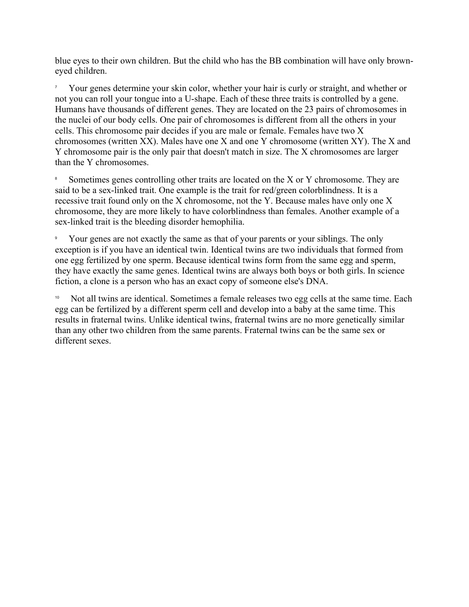blue eyes to their own children. But the child who has the BB combination will have only browneyed children.

7 Your genes determine your skin color, whether your hair is curly or straight, and whether or not you can roll your tongue into a U-shape. Each of these three traits is controlled by a gene. Humans have thousands of different genes. They are located on the 23 pairs of chromosomes in the nuclei of our body cells. One pair of chromosomes is different from all the others in your cells. This chromosome pair decides if you are male or female. Females have two X chromosomes (written XX). Males have one X and one Y chromosome (written XY). The X and Y chromosome pair is the only pair that doesn't match in size. The X chromosomes are larger than the Y chromosomes.

8 Sometimes genes controlling other traits are located on the X or Y chromosome. They are said to be a sex-linked trait. One example is the trait for red/green colorblindness. It is a recessive trait found only on the X chromosome, not the Y. Because males have only one X chromosome, they are more likely to have colorblindness than females. Another example of a sex-linked trait is the bleeding disorder hemophilia.

9 Your genes are not exactly the same as that of your parents or your siblings. The only exception is if you have an identical twin. Identical twins are two individuals that formed from one egg fertilized by one sperm. Because identical twins form from the same egg and sperm, they have exactly the same genes. Identical twins are always both boys or both girls. In science fiction, a clone is a person who has an exact copy of someone else's DNA.

Not all twins are identical. Sometimes a female releases two egg cells at the same time. Each egg can be fertilized by a different sperm cell and develop into a baby at the same time. This results in fraternal twins. Unlike identical twins, fraternal twins are no more genetically similar than any other two children from the same parents. Fraternal twins can be the same sex or different sexes.